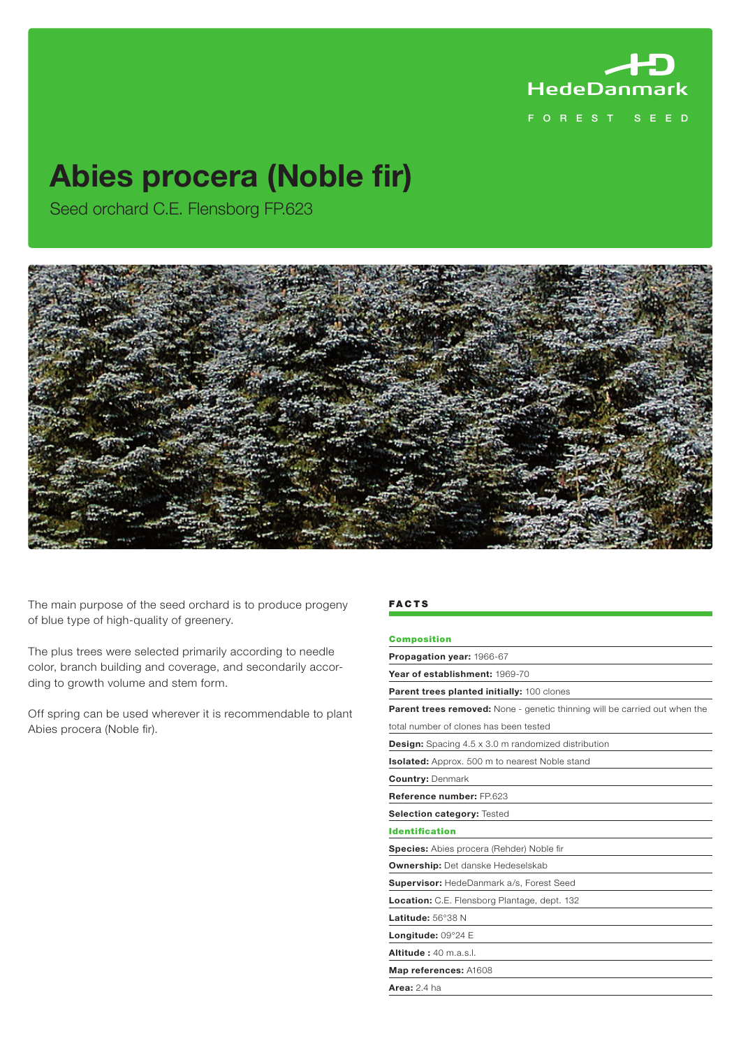

# Abies procera (Noble fir)

Seed orchard C.E. Flensborg FP.623



The main purpose of the seed orchard is to produce progeny of blue type of high-quality of greenery.

The plus trees were selected primarily according to needle color, branch building and coverage, and secondarily according to growth volume and stem form.

Off spring can be used wherever it is recommendable to plant Abies procera (Noble fir).

#### **FACTS**

## Composition

Propagation year: 1966-67 Year of establishment: 1969-70 Parent trees planted initially: 100 clones Parent trees removed: None - genetic thinning will be carried out when the total number of clones has been tested Design: Spacing 4.5 x 3.0 m randomized distribution Isolated: Approx. 500 m to nearest Noble stand Country: Denmark Reference number: FP.623 Selection category: Tested Identification Species: Abies procera (Rehder) Noble fir Ownership: Det danske Hedeselskab Supervisor: HedeDanmark a/s, Forest Seed Location: C.E. Flensborg Plantage, dept. 132 Latitude: 56°38 N Longitude: 09°24 E Altitude : 40 m.a.s.l. Map references: A1608

Area: 2.4 ha